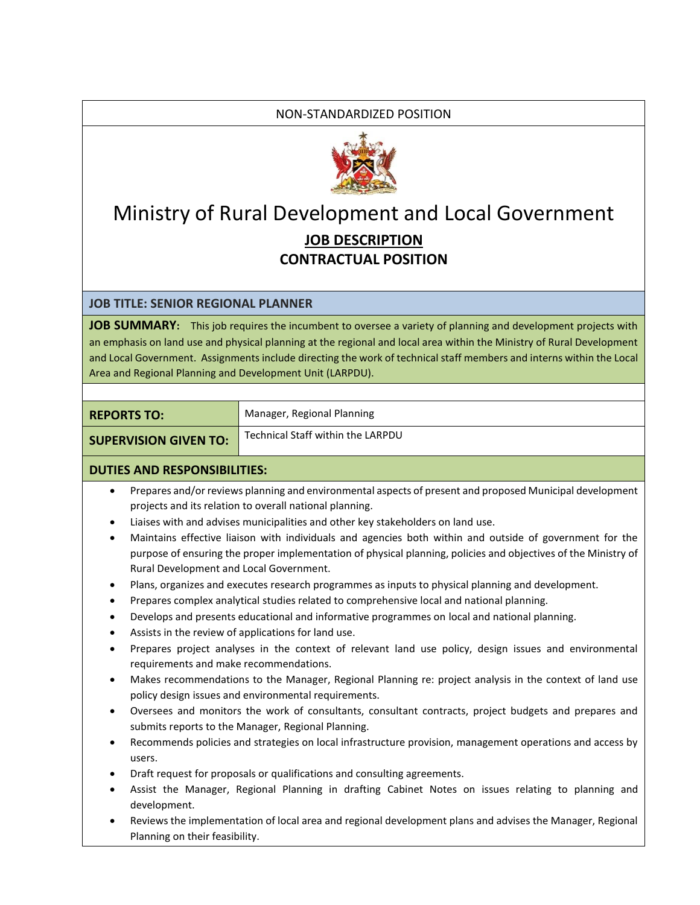## NON-STANDARDIZED POSITION



## Ministry of Rural Development and Local Government **JOB DESCRIPTION CONTRACTUAL POSITION**

## **JOB TITLE: SENIOR REGIONAL PLANNER**

**JOB SUMMARY:** This job requires the incumbent to oversee a variety of planning and development projects with an emphasis on land use and physical planning at the regional and local area within the Ministry of Rural Development and Local Government. Assignments include directing the work of technical staff members and interns within the Local Area and Regional Planning and Development Unit (LARPDU).

| <b>REPORTS TO:</b>           | Manager, Regional Planning        |
|------------------------------|-----------------------------------|
| <b>SUPERVISION GIVEN TO:</b> | Technical Staff within the LARPDU |

## **DUTIES AND RESPONSIBILITIES:**

- Prepares and/or reviews planning and environmental aspects of present and proposed Municipal development projects and its relation to overall national planning.
- Liaises with and advises municipalities and other key stakeholders on land use.
- Maintains effective liaison with individuals and agencies both within and outside of government for the purpose of ensuring the proper implementation of physical planning, policies and objectives of the Ministry of Rural Development and Local Government.
- Plans, organizes and executes research programmes as inputs to physical planning and development.
- Prepares complex analytical studies related to comprehensive local and national planning.
- Develops and presents educational and informative programmes on local and national planning.
- Assists in the review of applications for land use.
- Prepares project analyses in the context of relevant land use policy, design issues and environmental requirements and make recommendations.
- Makes recommendations to the Manager, Regional Planning re: project analysis in the context of land use policy design issues and environmental requirements.
- Oversees and monitors the work of consultants, consultant contracts, project budgets and prepares and submits reports to the Manager, Regional Planning.
- Recommends policies and strategies on local infrastructure provision, management operations and access by users.
- Draft request for proposals or qualifications and consulting agreements.
- Assist the Manager, Regional Planning in drafting Cabinet Notes on issues relating to planning and development.
- Reviews the implementation of local area and regional development plans and advises the Manager, Regional Planning on their feasibility.